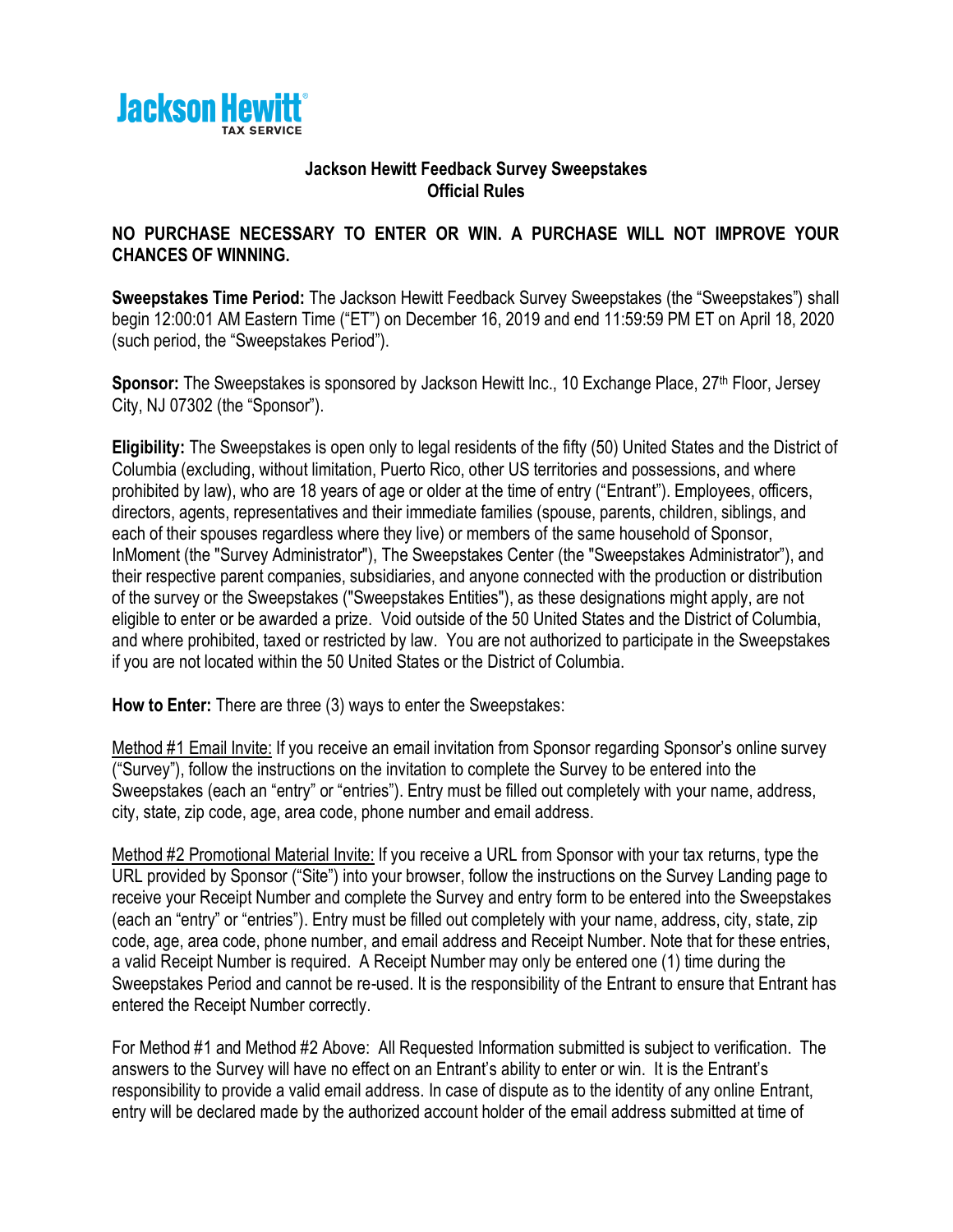

## **Jackson Hewitt Feedback Survey Sweepstakes Official Rules**

## **NO PURCHASE NECESSARY TO ENTER OR WIN. A PURCHASE WILL NOT IMPROVE YOUR CHANCES OF WINNING.**

**Sweepstakes Time Period:** The Jackson Hewitt Feedback Survey Sweepstakes (the "Sweepstakes") shall begin 12:00:01 AM Eastern Time ("ET") on December 16, 2019 and end 11:59:59 PM ET on April 18, 2020 (such period, the "Sweepstakes Period").

**Sponsor:** The Sweepstakes is sponsored by Jackson Hewitt Inc., 10 Exchange Place, 27<sup>th</sup> Floor, Jersey City, NJ 07302 (the "Sponsor").

**Eligibility:** The Sweepstakes is open only to legal residents of the fifty (50) United States and the District of Columbia (excluding, without limitation, Puerto Rico, other US territories and possessions, and where prohibited by law), who are 18 years of age or older at the time of entry ("Entrant"). Employees, officers, directors, agents, representatives and their immediate families (spouse, parents, children, siblings, and each of their spouses regardless where they live) or members of the same household of Sponsor, InMoment (the "Survey Administrator"), The Sweepstakes Center (the "Sweepstakes Administrator"), and their respective parent companies, subsidiaries, and anyone connected with the production or distribution of the survey or the Sweepstakes ("Sweepstakes Entities"), as these designations might apply, are not eligible to enter or be awarded a prize. Void outside of the 50 United States and the District of Columbia, and where prohibited, taxed or restricted by law. You are not authorized to participate in the Sweepstakes if you are not located within the 50 United States or the District of Columbia.

**How to Enter:** There are three (3) ways to enter the Sweepstakes:

Method #1 Email Invite: If you receive an email invitation from Sponsor regarding Sponsor's online survey ("Survey"), follow the instructions on the invitation to complete the Survey to be entered into the Sweepstakes (each an "entry" or "entries"). Entry must be filled out completely with your name, address, city, state, zip code, age, area code, phone number and email address.

Method #2 Promotional Material Invite: If you receive a URL from Sponsor with your tax returns, type the URL provided by Sponsor ("Site") into your browser, follow the instructions on the Survey Landing page to receive your Receipt Number and complete the Survey and entry form to be entered into the Sweepstakes (each an "entry" or "entries"). Entry must be filled out completely with your name, address, city, state, zip code, age, area code, phone number, and email address and Receipt Number. Note that for these entries, a valid Receipt Number is required. A Receipt Number may only be entered one (1) time during the Sweepstakes Period and cannot be re-used. It is the responsibility of the Entrant to ensure that Entrant has entered the Receipt Number correctly.

For Method #1 and Method #2 Above: All Requested Information submitted is subject to verification. The answers to the Survey will have no effect on an Entrant's ability to enter or win. It is the Entrant's responsibility to provide a valid email address. In case of dispute as to the identity of any online Entrant, entry will be declared made by the authorized account holder of the email address submitted at time of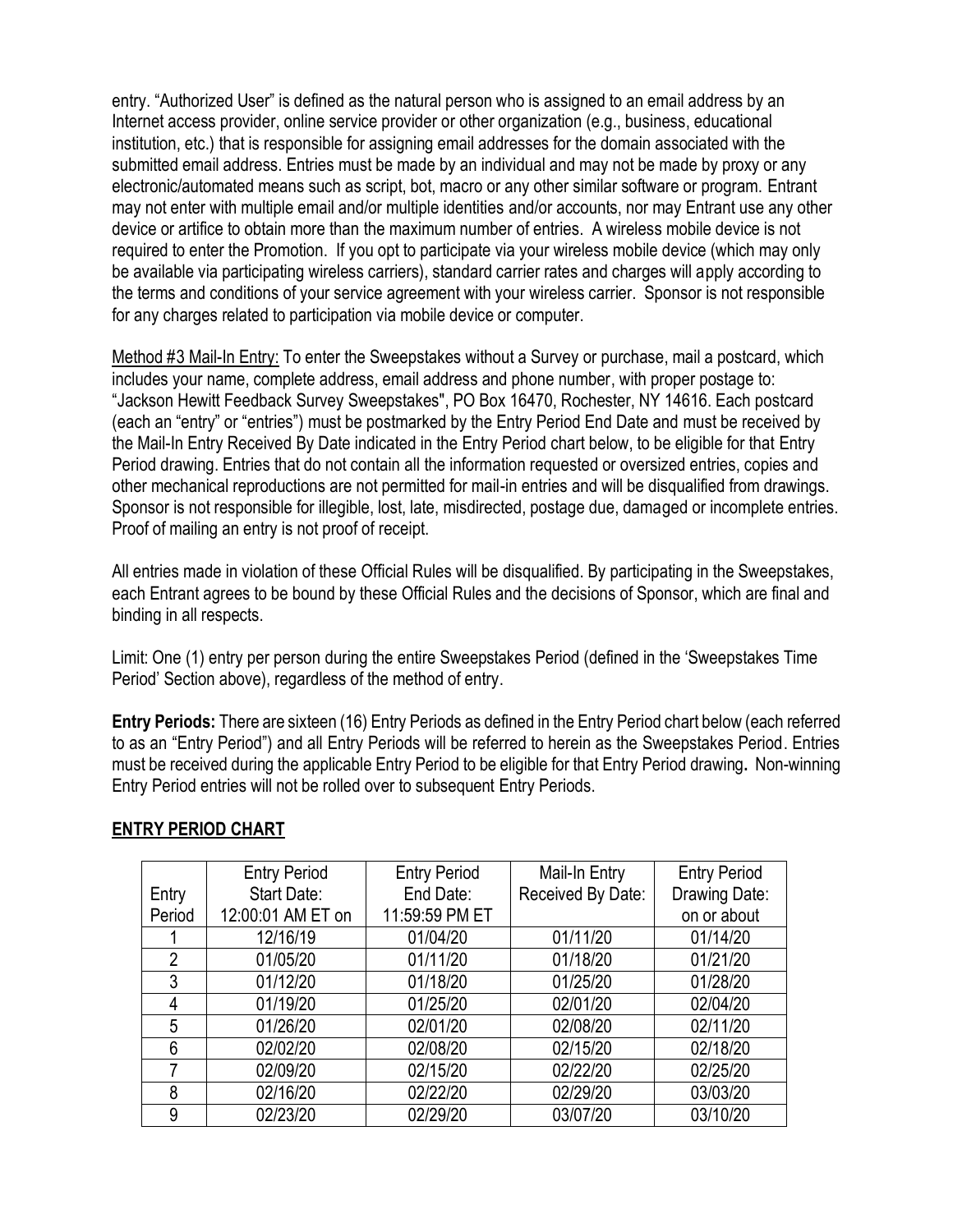entry. "Authorized User" is defined as the natural person who is assigned to an email address by an Internet access provider, online service provider or other organization (e.g., business, educational institution, etc.) that is responsible for assigning email addresses for the domain associated with the submitted email address. Entries must be made by an individual and may not be made by proxy or any electronic/automated means such as script, bot, macro or any other similar software or program. Entrant may not enter with multiple email and/or multiple identities and/or accounts, nor may Entrant use any other device or artifice to obtain more than the maximum number of entries. A wireless mobile device is not required to enter the Promotion. If you opt to participate via your wireless mobile device (which may only be available via participating wireless carriers), standard carrier rates and charges will apply according to the terms and conditions of your service agreement with your wireless carrier. Sponsor is not responsible for any charges related to participation via mobile device or computer.

Method #3 Mail-In Entry: To enter the Sweepstakes without a Survey or purchase, mail a postcard, which includes your name, complete address, email address and phone number, with proper postage to: "Jackson Hewitt Feedback Survey Sweepstakes", PO Box 16470, Rochester, NY 14616. Each postcard (each an "entry" or "entries") must be postmarked by the Entry Period End Date and must be received by the Mail-In Entry Received By Date indicated in the Entry Period chart below, to be eligible for that Entry Period drawing. Entries that do not contain all the information requested or oversized entries, copies and other mechanical reproductions are not permitted for mail-in entries and will be disqualified from drawings. Sponsor is not responsible for illegible, lost, late, misdirected, postage due, damaged or incomplete entries. Proof of mailing an entry is not proof of receipt.

All entries made in violation of these Official Rules will be disqualified. By participating in the Sweepstakes, each Entrant agrees to be bound by these Official Rules and the decisions of Sponsor, which are final and binding in all respects.

Limit: One (1) entry per person during the entire Sweepstakes Period (defined in the 'Sweepstakes Time Period' Section above), regardless of the method of entry.

**Entry Periods:** There are sixteen (16) Entry Periods as defined in the Entry Period chart below (each referred to as an "Entry Period") and all Entry Periods will be referred to herein as the Sweepstakes Period. Entries must be received during the applicable Entry Period to be eligible for that Entry Period drawing**.** Non-winning Entry Period entries will not be rolled over to subsequent Entry Periods.

|                | <b>Entry Period</b> | <b>Entry Period</b> | Mail-In Entry     | <b>Entry Period</b> |
|----------------|---------------------|---------------------|-------------------|---------------------|
| Entry          | Start Date:         | End Date:           | Received By Date: | Drawing Date:       |
| Period         | 12:00:01 AM ET on   | 11:59:59 PM ET      |                   | on or about         |
|                | 12/16/19            | 01/04/20            | 01/11/20          | 01/14/20            |
| $\overline{2}$ | 01/05/20            | 01/11/20            | 01/18/20          | 01/21/20            |
| 3              | 01/12/20            | 01/18/20            | 01/25/20          | 01/28/20            |
| 4              | 01/19/20            | 01/25/20            | 02/01/20          | 02/04/20            |
| 5              | 01/26/20            | 02/01/20            | 02/08/20          | 02/11/20            |
| 6              | 02/02/20            | 02/08/20            | 02/15/20          | 02/18/20            |
| 7              | 02/09/20            | 02/15/20            | 02/22/20          | 02/25/20            |
| 8              | 02/16/20            | 02/22/20            | 02/29/20          | 03/03/20            |
| 9              | 02/23/20            | 02/29/20            | 03/07/20          | 03/10/20            |

## **ENTRY PERIOD CHART**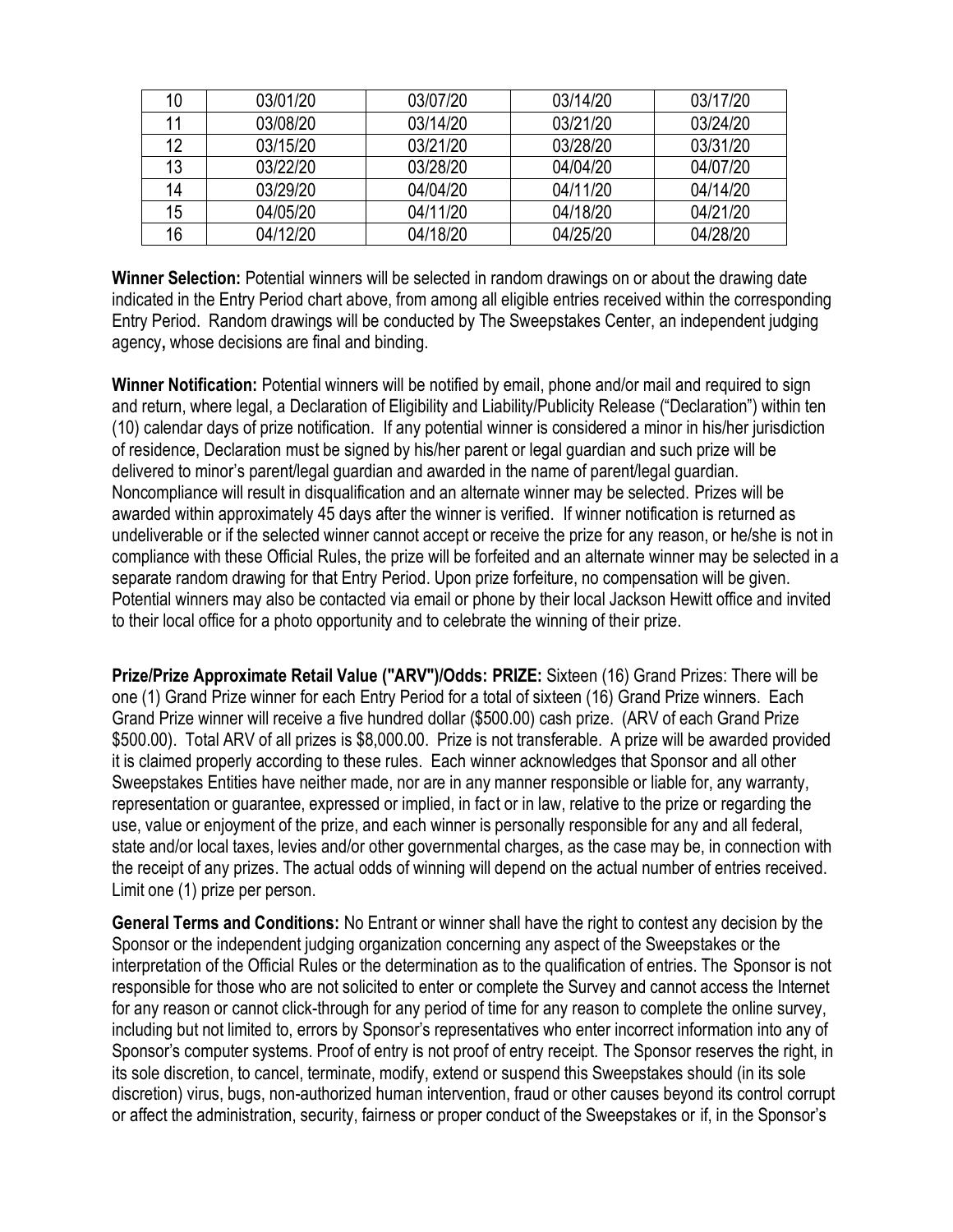| 10 | 03/01/20 | 03/07/20 | 03/14/20 | 03/17/20 |
|----|----------|----------|----------|----------|
| 11 | 03/08/20 | 03/14/20 | 03/21/20 | 03/24/20 |
| 12 | 03/15/20 | 03/21/20 | 03/28/20 | 03/31/20 |
| 13 | 03/22/20 | 03/28/20 | 04/04/20 | 04/07/20 |
| 14 | 03/29/20 | 04/04/20 | 04/11/20 | 04/14/20 |
| 15 | 04/05/20 | 04/11/20 | 04/18/20 | 04/21/20 |
| 16 | 04/12/20 | 04/18/20 | 04/25/20 | 04/28/20 |

**Winner Selection:** Potential winners will be selected in random drawings on or about the drawing date indicated in the Entry Period chart above, from among all eligible entries received within the corresponding Entry Period. Random drawings will be conducted by The Sweepstakes Center, an independent judging agency**,** whose decisions are final and binding.

**Winner Notification:** Potential winners will be notified by email, phone and/or mail and required to sign and return, where legal, a Declaration of Eligibility and Liability/Publicity Release ("Declaration") within ten (10) calendar days of prize notification. If any potential winner is considered a minor in his/her jurisdiction of residence, Declaration must be signed by his/her parent or legal guardian and such prize will be delivered to minor's parent/legal guardian and awarded in the name of parent/legal guardian. Noncompliance will result in disqualification and an alternate winner may be selected. Prizes will be awarded within approximately 45 days after the winner is verified. If winner notification is returned as undeliverable or if the selected winner cannot accept or receive the prize for any reason, or he/she is not in compliance with these Official Rules, the prize will be forfeited and an alternate winner may be selected in a separate random drawing for that Entry Period. Upon prize forfeiture, no compensation will be given. Potential winners may also be contacted via email or phone by their local Jackson Hewitt office and invited to their local office for a photo opportunity and to celebrate the winning of their prize.

**Prize/Prize Approximate Retail Value ("ARV")/Odds: PRIZE:** Sixteen (16) Grand Prizes: There will be one (1) Grand Prize winner for each Entry Period for a total of sixteen (16) Grand Prize winners. Each Grand Prize winner will receive a five hundred dollar (\$500.00) cash prize. (ARV of each Grand Prize \$500.00). Total ARV of all prizes is \$8,000.00. Prize is not transferable. A prize will be awarded provided it is claimed properly according to these rules. Each winner acknowledges that Sponsor and all other Sweepstakes Entities have neither made, nor are in any manner responsible or liable for, any warranty, representation or guarantee, expressed or implied, in fact or in law, relative to the prize or regarding the use, value or enjoyment of the prize, and each winner is personally responsible for any and all federal, state and/or local taxes, levies and/or other governmental charges, as the case may be, in connection with the receipt of any prizes. The actual odds of winning will depend on the actual number of entries received. Limit one (1) prize per person.

**General Terms and Conditions:** No Entrant or winner shall have the right to contest any decision by the Sponsor or the independent judging organization concerning any aspect of the Sweepstakes or the interpretation of the Official Rules or the determination as to the qualification of entries. The Sponsor is not responsible for those who are not solicited to enter or complete the Survey and cannot access the Internet for any reason or cannot click-through for any period of time for any reason to complete the online survey, including but not limited to, errors by Sponsor's representatives who enter incorrect information into any of Sponsor's computer systems. Proof of entry is not proof of entry receipt. The Sponsor reserves the right, in its sole discretion, to cancel, terminate, modify, extend or suspend this Sweepstakes should (in its sole discretion) virus, bugs, non-authorized human intervention, fraud or other causes beyond its control corrupt or affect the administration, security, fairness or proper conduct of the Sweepstakes or if, in the Sponsor's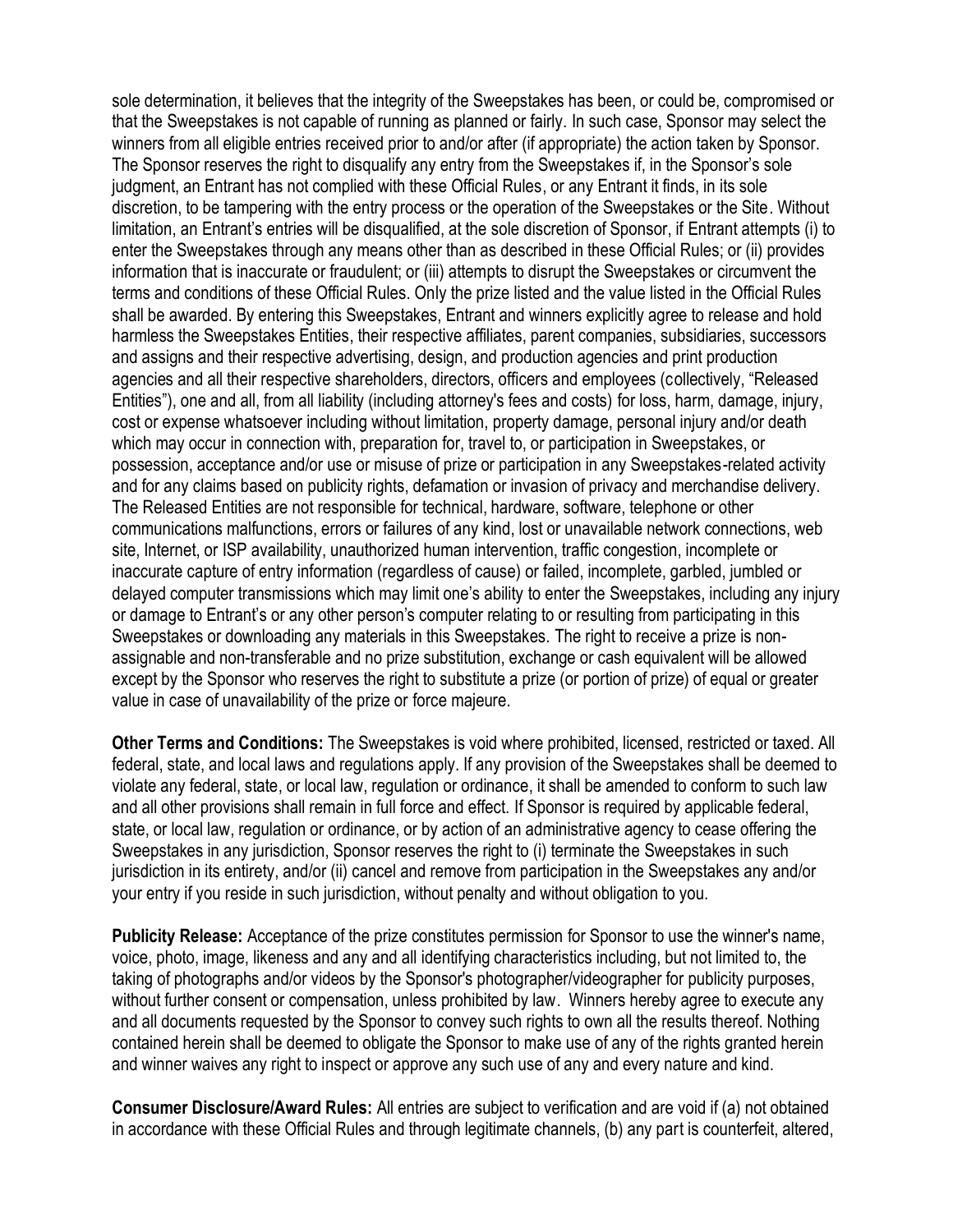sole determination, it believes that the integrity of the Sweepstakes has been, or could be, compromised or that the Sweepstakes is not capable of running as planned or fairly. In such case, Sponsor may select the winners from all eligible entries received prior to and/or after (if appropriate) the action taken by Sponsor. The Sponsor reserves the right to disqualify any entry from the Sweepstakes if, in the Sponsor's sole judgment, an Entrant has not complied with these Official Rules, or any Entrant it finds, in its sole discretion, to be tampering with the entry process or the operation of the Sweepstakes or the Site. Without limitation, an Entrant's entries will be disqualified, at the sole discretion of Sponsor, if Entrant attempts (i) to enter the Sweepstakes through any means other than as described in these Official Rules; or (ii) provides information that is inaccurate or fraudulent; or (iii) attempts to disrupt the Sweepstakes or circumvent the terms and conditions of these Official Rules. Only the prize listed and the value listed in the Official Rules shall be awarded. By entering this Sweepstakes, Entrant and winners explicitly agree to release and hold harmless the Sweepstakes Entities, their respective affiliates, parent companies, subsidiaries, successors and assigns and their respective advertising, design, and production agencies and print production agencies and all their respective shareholders, directors, officers and employees (collectively, "Released Entities"), one and all, from all liability (including attorney's fees and costs) for loss, harm, damage, injury, cost or expense whatsoever including without limitation, property damage, personal injury and/or death which may occur in connection with, preparation for, travel to, or participation in Sweepstakes, or possession, acceptance and/or use or misuse of prize or participation in any Sweepstakes-related activity and for any claims based on publicity rights, defamation or invasion of privacy and merchandise delivery. The Released Entities are not responsible for technical, hardware, software, telephone or other communications malfunctions, errors or failures of any kind, lost or unavailable network connections, web site, Internet, or ISP availability, unauthorized human intervention, traffic congestion, incomplete or inaccurate capture of entry information (regardless of cause) or failed, incomplete, garbled, jumbled or delayed computer transmissions which may limit one's ability to enter the Sweepstakes, including any injury or damage to Entrant's or any other person's computer relating to or resulting from participating in this Sweepstakes or downloading any materials in this Sweepstakes. The right to receive a prize is nonassignable and non-transferable and no prize substitution, exchange or cash equivalent will be allowed except by the Sponsor who reserves the right to substitute a prize (or portion of prize) of equal or greater value in case of unavailability of the prize or force majeure.

**Other Terms and Conditions:** The Sweepstakes is void where prohibited, licensed, restricted or taxed. All federal, state, and local laws and regulations apply. If any provision of the Sweepstakes shall be deemed to violate any federal, state, or local law, regulation or ordinance, it shall be amended to conform to such law and all other provisions shall remain in full force and effect. If Sponsor is required by applicable federal, state, or local law, regulation or ordinance, or by action of an administrative agency to cease offering the Sweepstakes in any jurisdiction, Sponsor reserves the right to (i) terminate the Sweepstakes in such jurisdiction in its entirety, and/or (ii) cancel and remove from participation in the Sweepstakes any and/or your entry if you reside in such jurisdiction, without penalty and without obligation to you.

**Publicity Release:** Acceptance of the prize constitutes permission for Sponsor to use the winner's name, voice, photo, image, likeness and any and all identifying characteristics including, but not limited to, the taking of photographs and/or videos by the Sponsor's photographer/videographer for publicity purposes, without further consent or compensation, unless prohibited by law. Winners hereby agree to execute any and all documents requested by the Sponsor to convey such rights to own all the results thereof. Nothing contained herein shall be deemed to obligate the Sponsor to make use of any of the rights granted herein and winner waives any right to inspect or approve any such use of any and every nature and kind.

**Consumer Disclosure/Award Rules:** All entries are subject to verification and are void if (a) not obtained in accordance with these Official Rules and through legitimate channels, (b) any part is counterfeit, altered,